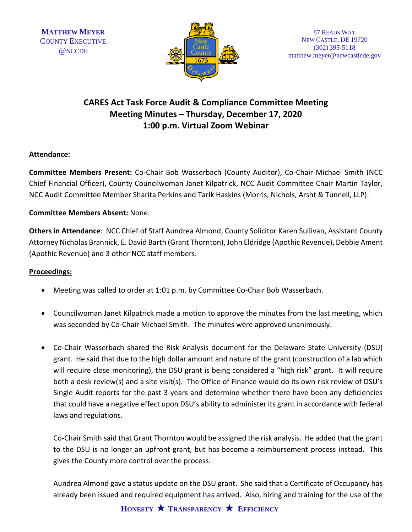

### **CARES Act Task Force Audit & Compliance Committee Meeting Meeting Minutes – Thursday, December 17, 2020 1:00 p.m. Virtual Zoom Webinar**

#### **Attendance:**

**Committee Members Present:** Co-Chair Bob Wasserbach (County Auditor), Co-Chair Michael Smith (NCC Chief Financial Officer), County Councilwoman Janet Kilpatrick, NCC Audit Committee Chair Martin Taylor, NCC Audit Committee Member Sharita Perkins and Tarik Haskins (Morris, Nichols, Arsht & Tunnell, LLP).

#### **Committee Members Absent:** None.

**Others in Attendance**: NCC Chief of Staff Aundrea Almond, County Solicitor Karen Sullivan, Assistant County Attorney Nicholas Brannick, E. David Barth (Grant Thornton), John Eldridge (Apothic Revenue), Debbie Ament (Apothic Revenue) and 3 other NCC staff members.

#### **Proceedings:**

- Meeting was called to order at 1:01 p.m. by Committee Co-Chair Bob Wasserbach.
- Councilwoman Janet Kilpatrick made a motion to approve the minutes from the last meeting, which was seconded by Co-Chair Michael Smith. The minutes were approved unanimously.
- Co-Chair Wasserbach shared the Risk Analysis document for the Delaware State University (DSU) grant. He said that due to the high dollar amount and nature of the grant (construction of a lab which will require close monitoring), the DSU grant is being considered a "high risk" grant. It will require both a desk review(s) and a site visit(s). The Office of Finance would do its own risk review of DSU's Single Audit reports for the past 3 years and determine whether there have been any deficiencies that could have a negative effect upon DSU's ability to administer its grant in accordance with federal laws and regulations.

Co-Chair Smith said that Grant Thornton would be assigned the risk analysis. He added that the grant to the DSU is no longer an upfront grant, but has become a reimbursement process instead. This gives the County more control over the process.

Aundrea Almond gave a status update on the DSU grant. She said that a Certificate of Occupancy has already been issued and required equipment has arrived. Also, hiring and training for the use of the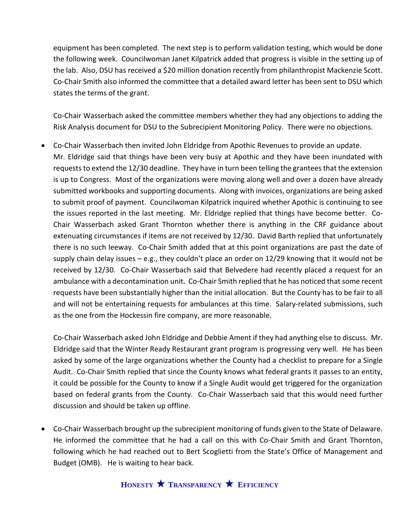equipment has been completed. The next step is to perform validation testing, which would be done the following week. Councilwoman Janet Kilpatrick added that progress is visible in the setting up of the lab. Also, DSU has received a \$20 million donation recently from philanthropist Mackenzie Scott. Co-Chair Smith also informed the committee that a detailed award letter has been sent to DSU which states the terms of the grant.

Co-Chair Wasserbach asked the committee members whether they had any objections to adding the Risk Analysis document for DSU to the Subrecipient Monitoring Policy. There were no objections.

• Co-Chair Wasserbach then invited John Eldridge from Apothic Revenues to provide an update. Mr. Eldridge said that things have been very busy at Apothic and they have been inundated with requests to extend the 12/30 deadline. They have in turn been telling the grantees that the extension is up to Congress. Most of the organizations were moving along well and over a dozen have already submitted workbooks and supporting documents. Along with invoices, organizations are being asked to submit proof of payment. Councilwoman Kilpatrick inquired whether Apothic is continuing to see the issues reported in the last meeting. Mr. Eldridge replied that things have become better. Co-Chair Wasserbach asked Grant Thornton whether there is anything in the CRF guidance about extenuating circumstances if items are not received by 12/30. David Barth replied that unfortunately there is no such leeway. Co-Chair Smith added that at this point organizations are past the date of supply chain delay issues  $-e.g.,$  they couldn't place an order on 12/29 knowing that it would not be received by 12/30. Co-Chair Wasserbach said that Belvedere had recently placed a request for an ambulance with a decontamination unit. Co-Chair Smith replied that he has noticed that some recent requests have been substantially higher than the initial allocation. But the County has to be fair to all and will not be entertaining requests for ambulances at this time. Salary-related submissions, such as the one from the Hockessin fire company, are more reasonable.

Co-Chair Wasserbach asked John Eldridge and Debbie Ament if they had anything else to discuss. Mr. Eldridge said that the Winter Ready Restaurant grant program is progressing very well. He has been asked by some of the large organizations whether the County had a checklist to prepare for a Single Audit. Co-Chair Smith replied that since the County knows what federal grants it passes to an entity, it could be possible for the County to know if a Single Audit would get triggered for the organization based on federal grants from the County. Co-Chair Wasserbach said that this would need further discussion and should be taken up offline.

• Co-Chair Wasserbach brought up the subrecipient monitoring of funds given to the State of Delaware. He informed the committee that he had a call on this with Co-Chair Smith and Grant Thornton, following which he had reached out to Bert Scoglietti from the State's Office of Management and Budget (OMB). He is waiting to hear back.

## **HONESTY TRANSPARENCY EFFICIENCY**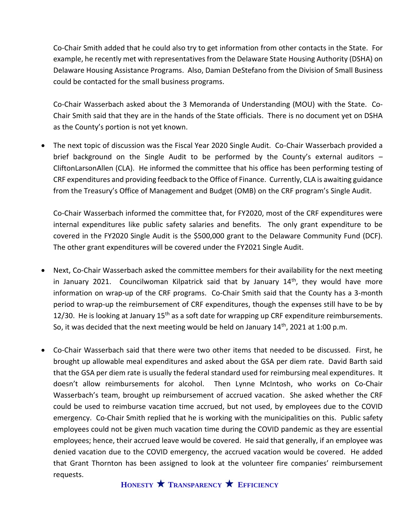Co-Chair Smith added that he could also try to get information from other contacts in the State. For example, he recently met with representatives from the Delaware State Housing Authority (DSHA) on Delaware Housing Assistance Programs. Also, Damian DeStefano from the Division of Small Business could be contacted for the small business programs.

Co-Chair Wasserbach asked about the 3 Memoranda of Understanding (MOU) with the State. Co-Chair Smith said that they are in the hands of the State officials. There is no document yet on DSHA as the County's portion is not yet known.

• The next topic of discussion was the Fiscal Year 2020 Single Audit. Co-Chair Wasserbach provided a brief background on the Single Audit to be performed by the County's external auditors – CliftonLarsonAllen (CLA). He informed the committee that his office has been performing testing of CRF expenditures and providing feedback to the Office of Finance. Currently, CLA is awaiting guidance from the Treasury's Office of Management and Budget (OMB) on the CRF program's Single Audit.

Co-Chair Wasserbach informed the committee that, for FY2020, most of the CRF expenditures were internal expenditures like public safety salaries and benefits. The only grant expenditure to be covered in the FY2020 Single Audit is the \$500,000 grant to the Delaware Community Fund (DCF). The other grant expenditures will be covered under the FY2021 Single Audit.

- Next, Co-Chair Wasserbach asked the committee members for their availability for the next meeting in January 2021. Councilwoman Kilpatrick said that by January  $14<sup>th</sup>$ , they would have more information on wrap-up of the CRF programs. Co-Chair Smith said that the County has a 3-month period to wrap-up the reimbursement of CRF expenditures, though the expenses still have to be by 12/30. He is looking at January  $15<sup>th</sup>$  as a soft date for wrapping up CRF expenditure reimbursements. So, it was decided that the next meeting would be held on January 14<sup>th</sup>, 2021 at 1:00 p.m.
- Co-Chair Wasserbach said that there were two other items that needed to be discussed. First, he brought up allowable meal expenditures and asked about the GSA per diem rate. David Barth said that the GSA per diem rate is usually the federal standard used for reimbursing meal expenditures. It doesn't allow reimbursements for alcohol. Then Lynne McIntosh, who works on Co-Chair Wasserbach's team, brought up reimbursement of accrued vacation. She asked whether the CRF could be used to reimburse vacation time accrued, but not used, by employees due to the COVID emergency. Co-Chair Smith replied that he is working with the municipalities on this. Public safety employees could not be given much vacation time during the COVID pandemic as they are essential employees; hence, their accrued leave would be covered. He said that generally, if an employee was denied vacation due to the COVID emergency, the accrued vacation would be covered. He added that Grant Thornton has been assigned to look at the volunteer fire companies' reimbursement requests.

**HONESTY TRANSPARENCY EFFICIENCY**